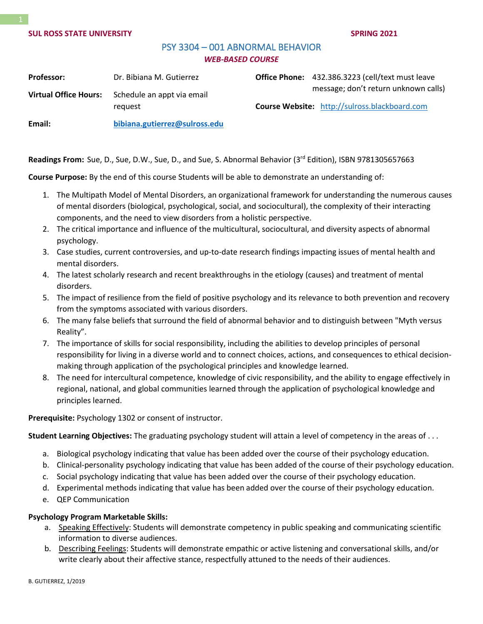# PSY 3304 – 001 ABNORMAL BEHAVIOR *WEB-BASED COURSE*

| <b>Professor:</b>            | Dr. Bibiana M. Gutierrez              | Office Phone: 432.386.3223 (cell/text must leave                                             |
|------------------------------|---------------------------------------|----------------------------------------------------------------------------------------------|
| <b>Virtual Office Hours:</b> | Schedule an appt via email<br>request | message; don't return unknown calls)<br><b>Course Website:</b> http://sulross.blackboard.com |
| Email:                       | bibiana.gutierrez@sulross.edu         |                                                                                              |

Readings From: Sue, D., Sue, D.W., Sue, D., and Sue, S. Abnormal Behavior (3<sup>rd</sup> Edition), ISBN 9781305657663

**Course Purpose:** By the end of this course Students will be able to demonstrate an understanding of:

- 1. The Multipath Model of Mental Disorders, an organizational framework for understanding the numerous causes of mental disorders (biological, psychological, social, and sociocultural), the complexity of their interacting components, and the need to view disorders from a holistic perspective.
- 2. The critical importance and influence of the multicultural, sociocultural, and diversity aspects of abnormal psychology.
- 3. Case studies, current controversies, and up-to-date research findings impacting issues of mental health and mental disorders.
- 4. The latest scholarly research and recent breakthroughs in the etiology (causes) and treatment of mental disorders.
- 5. The impact of resilience from the field of positive psychology and its relevance to both prevention and recovery from the symptoms associated with various disorders.
- 6. The many false beliefs that surround the field of abnormal behavior and to distinguish between "Myth versus Reality".
- 7. The importance of skills for social responsibility, including the abilities to develop principles of personal responsibility for living in a diverse world and to connect choices, actions, and consequences to ethical decisionmaking through application of the psychological principles and knowledge learned.
- 8. The need for intercultural competence, knowledge of civic responsibility, and the ability to engage effectively in regional, national, and global communities learned through the application of psychological knowledge and principles learned.

**Prerequisite:** Psychology 1302 or consent of instructor.

**Student Learning Objectives:** The graduating psychology student will attain a level of competency in the areas of . . .

- a. Biological psychology indicating that value has been added over the course of their psychology education.
- b. Clinical-personality psychology indicating that value has been added of the course of their psychology education.
- c. Social psychology indicating that value has been added over the course of their psychology education.
- d. Experimental methods indicating that value has been added over the course of their psychology education.
- e. QEP Communication

# **Psychology Program Marketable Skills:**

- a. Speaking Effectively: Students will demonstrate competency in public speaking and communicating scientific information to diverse audiences.
- b. Describing Feelings: Students will demonstrate empathic or active listening and conversational skills, and/or write clearly about their affective stance, respectfully attuned to the needs of their audiences.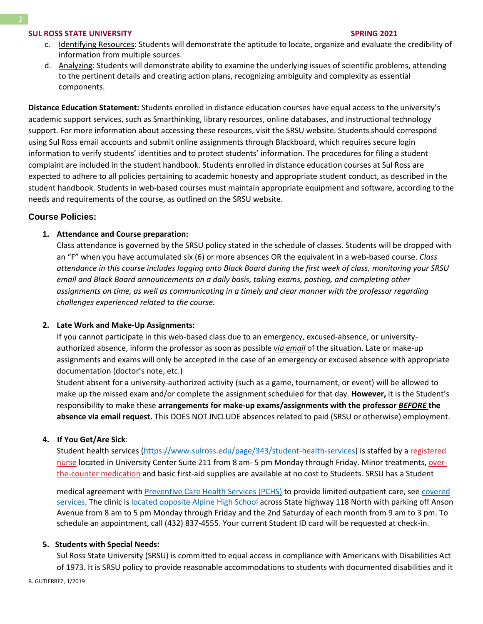- c. Identifying Resources: Students will demonstrate the aptitude to locate, organize and evaluate the credibility of information from multiple sources.
- d. Analyzing: Students will demonstrate ability to examine the underlying issues of scientific problems, attending to the pertinent details and creating action plans, recognizing ambiguity and complexity as essential components.

**Distance Education Statement:** Students enrolled in distance education courses have equal access to the university's academic support services, such as Smarthinking, library resources, online databases, and instructional technology support. For more information about accessing these resources, visit the SRSU website. Students should correspond using Sul Ross email accounts and submit online assignments through Blackboard, which requires secure login information to verify students' identities and to protect students' information. The procedures for filing a student complaint are included in the student handbook. Students enrolled in distance education courses at Sul Ross are expected to adhere to all policies pertaining to academic honesty and appropriate student conduct, as described in the student handbook. Students in web-based courses must maintain appropriate equipment and software, according to the needs and requirements of the course, as outlined on the SRSU website.

# **Course Policies:**

# **1. Attendance and Course preparation:**

Class attendance is governed by the SRSU policy stated in the schedule of classes. Students will be dropped with an "F" when you have accumulated six (6) or more absences OR the equivalent in a web-based course. *Class attendance in this course includes logging onto Black Board during the first week of class, monitoring your SRSU email and Black Board announcements on a daily basis, taking exams, posting, and completing other assignments on time, as well as communicating in a timely and clear manner with the professor regarding challenges experienced related to the course.*

# **2. Late Work and Make-Up Assignments:**

If you cannot participate in this web-based class due to an emergency, excused-absence, or universityauthorized absence, inform the professor as soon as possible *via email* of the situation. Late or make-up assignments and exams will only be accepted in the case of an emergency or excused absence with appropriate documentation (doctor's note, etc.)

Student absent for a university-authorized activity (such as a game, tournament, or event) will be allowed to make up the missed exam and/or complete the assignment scheduled for that day. **However,** it is the Student's responsibility to make these **arrangements for make-up exams/assignments with the professor** *BEFORE* **the absence via email request.** This DOES NOT INCLUDE absences related to paid (SRSU or otherwise) employment.

# **4. If You Get/Are Sick**:

Student health services [\(https://www.sulross.edu/page/343/student-health-services\)](https://www.sulross.edu/page/343/student-health-services) is staffed by a [registered](https://www.sulross.edu/faculty-and-staff/945/health-services-coordinator)  [nurse](https://www.sulross.edu/faculty-and-staff/945/health-services-coordinator) located in University Center Suite 211 from 8 am- 5 pm Monday through Friday. Minor treatments, [over](http://www.sulross.edu/page/1462/medications)[the-counter medication](http://www.sulross.edu/page/1462/medications) and basic first-aid supplies are available at no cost to Students. SRSU has a Student

medical agreement with [Preventive Care Health Services \(PCHS\)](http://www.pchsmedclinic.org/locations) to provide limited outpatient care, see [covered](http://www.sulross.edu/page/1471/preventive-care-health-services)  [services.](http://www.sulross.edu/page/1471/preventive-care-health-services) The clinic is [located opposite Alpine High School](http://www.sulross.edu/gallery-image/4341/health-service-locations) across State highway 118 North with parking off Anson Avenue from 8 am to 5 pm Monday through Friday and the 2nd Saturday of each month from 9 am to 3 pm. To schedule an appointment, call (432) 837-4555. Your current Student ID card will be requested at check-in.

# **5. Students with Special Needs:**

Sul Ross State University (SRSU) is committed to equal access in compliance with Americans with Disabilities Act of 1973. It is SRSU policy to provide reasonable accommodations to students with documented disabilities and it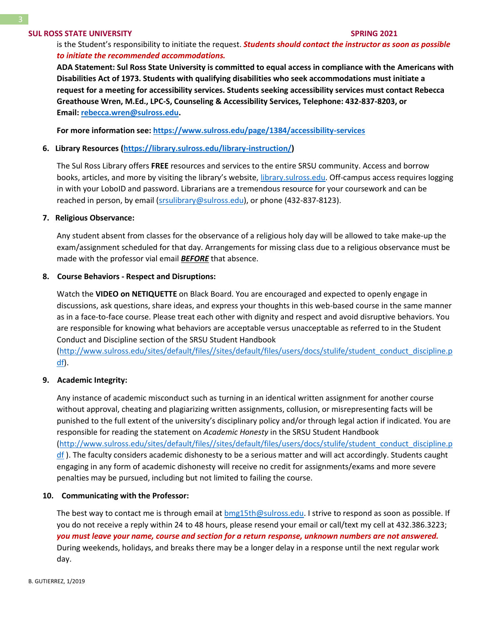is the Student's responsibility to initiate the request. *Students should contact the instructor as soon as possible to initiate the recommended accommodations.*

**ADA Statement: Sul Ross State University is committed to equal access in compliance with the Americans with Disabilities Act of 1973. Students with qualifying disabilities who seek accommodations must initiate a request for a meeting for accessibility services. Students seeking accessibility services must contact Rebecca Greathouse Wren, M.Ed., LPC-S, Counseling & Accessibility Services, Telephone: 432-837-8203, or Email: [rebecca.wren@sulross.edu.](mailto:rebecca.wren@sulross.edu)**

**For more information see: <https://www.sulross.edu/page/1384/accessibility-services>**

#### **6. Library Resources [\(https://library.sulross.edu/library-instruction/\)](https://library.sulross.edu/library-instruction/)**

The Sul Ross Library offers **FREE** resources and services to the entire SRSU community. Access and borrow books, articles, and more by visiting the library's website, [library.sulross.edu.](https://library.sulross.edu/) Off-campus access requires logging in with your LoboID and password. Librarians are a tremendous resource for your coursework and can be reached in person, by email [\(srsulibrary@sulross.edu\)](mailto:srsulibrary@sulross.edu), or phone (432-837-8123).

#### **7. Religious Observance:**

Any student absent from classes for the observance of a religious holy day will be allowed to take make-up the exam/assignment scheduled for that day. Arrangements for missing class due to a religious observance must be made with the professor vial email *BEFORE* that absence.

#### **8. Course Behaviors - Respect and Disruptions:**

Watch the **VIDEO on NETIQUETTE** on Black Board. You are encouraged and expected to openly engage in discussions, ask questions, share ideas, and express your thoughts in this web-based course in the same manner as in a face-to-face course. Please treat each other with dignity and respect and avoid disruptive behaviors. You are responsible for knowing what behaviors are acceptable versus unacceptable as referred to in the Student Conduct and Discipline section of the SRSU Student Handbook

[\(http://www.sulross.edu/sites/default/files//sites/default/files/users/docs/stulife/student\\_conduct\\_discipline.p](http://www.sulross.edu/sites/default/files/sites/default/files/users/docs/stulife/student_conduct_discipline.pdf) [df\)](http://www.sulross.edu/sites/default/files/sites/default/files/users/docs/stulife/student_conduct_discipline.pdf).

#### **9. Academic Integrity:**

Any instance of academic misconduct such as turning in an identical written assignment for another course without approval, cheating and plagiarizing written assignments, collusion, or misrepresenting facts will be punished to the full extent of the university's disciplinary policy and/or through legal action if indicated. You are responsible for reading the statement on *Academic Honesty* in the SRSU Student Handbook [\(http://www.sulross.edu/sites/default/files//sites/default/files/users/docs/stulife/student\\_conduct\\_discipline.p](http://www.sulross.edu/sites/default/files/sites/default/files/users/docs/stulife/student_conduct_discipline.pdf)  $df$ ). The faculty considers academic dishonesty to be a serious matter and will act accordingly. Students caught engaging in any form of academic dishonesty will receive no credit for assignments/exams and more severe penalties may be pursued, including but not limited to failing the course.

#### **10. Communicating with the Professor:**

The best way to contact me is through email at [bmg15th@sulross.edu.](mailto:bmg15th@sulross.edu) I strive to respond as soon as possible. If you do not receive a reply within 24 to 48 hours, please resend your email or call/text my cell at 432.386.3223; *you must leave your name, course and section for a return response, unknown numbers are not answered.* During weekends, holidays, and breaks there may be a longer delay in a response until the next regular work day.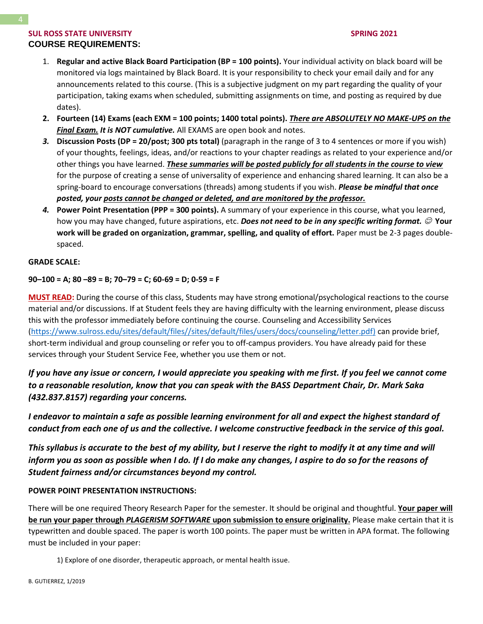# **SUL ROSS STATE UNIVERSITY** SPRING 2021 **COURSE REQUIREMENTS:**

- 1. **Regular and active Black Board Participation (BP = 100 points).** Your individual activity on black board will be monitored via logs maintained by Black Board. It is your responsibility to check your email daily and for any announcements related to this course. (This is a subjective judgment on my part regarding the quality of your participation, taking exams when scheduled, submitting assignments on time, and posting as required by due dates).
- **2. Fourteen (14) Exams (each EXM = 100 points; 1400 total points).** *There are ABSOLUTELY NO MAKE-UPS on the Final Exam. It is NOT cumulative.* All EXAMS are open book and notes.
- *3.* **Discussion Posts (DP = 20/post; 300 pts total)** (paragraph in the range of 3 to 4 sentences or more if you wish) of your thoughts, feelings, ideas, and/or reactions to your chapter readings as related to your experience and/or other things you have learned. *These summaries will be posted publicly for all students in the course to view* for the purpose of creating a sense of universality of experience and enhancing shared learning. It can also be a spring-board to encourage conversations (threads) among students if you wish. *Please be mindful that once posted, your posts cannot be changed or deleted, and are monitored by the professor.*
- *4.* **Power Point Presentation (PPP = 300 points).** A summary of your experience in this course, what you learned, how you may have changed, future aspirations, etc. **Does not need to be in any specific writing format.** © Your **work will be graded on organization, grammar, spelling, and quality of effort.** Paper must be 2-3 pages doublespaced.

# **GRADE SCALE:**

# **90–100 = A; 80 –89 = B; 70–79 = C; 60-69 = D; 0-59 = F**

**MUST READ:** During the course of this class, Students may have strong emotional/psychological reactions to the course material and/or discussions. If at Student feels they are having difficulty with the learning environment, please discuss this with the professor immediately before continuing the course. Counseling and Accessibility Services [\(https://www.sulross.edu/sites/default/files//sites/default/files/users/docs/counseling/letter.pdf\)](https://www.sulross.edu/sites/default/files/sites/default/files/users/docs/counseling/letter.pdf) can provide brief, short-term individual and group counseling or refer you to off-campus providers. You have already paid for these services through your Student Service Fee, whether you use them or not.

*If you have any issue or concern, I would appreciate you speaking with me first. If you feel we cannot come to a reasonable resolution, know that you can speak with the BASS Department Chair, Dr. Mark Saka (432.837.8157) regarding your concerns.*

*I endeavor to maintain a safe as possible learning environment for all and expect the highest standard of conduct from each one of us and the collective. I welcome constructive feedback in the service of this goal.*

This syllabus is accurate to the best of my ability, but I reserve the right to modify it at any time and will *inform you as soon as possible when I do. If I do make any changes, I aspire to do so for the reasons of Student fairness and/or circumstances beyond my control.*

# **POWER POINT PRESENTATION INSTRUCTIONS:**

There will be one required Theory Research Paper for the semester. It should be original and thoughtful. **Your paper will be run your paper through** *PLAGERISM SOFTWARE* **upon submission to ensure originality.** Please make certain that it is typewritten and double spaced. The paper is worth 100 points. The paper must be written in APA format. The following must be included in your paper:

1) Explore of one disorder, therapeutic approach, or mental health issue.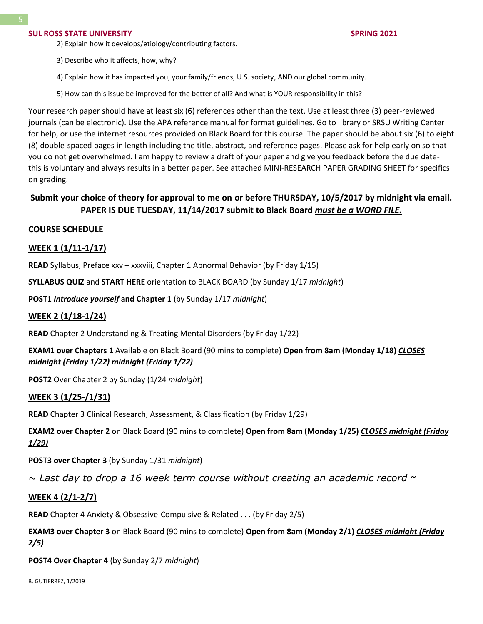- 2) Explain how it develops/etiology/contributing factors.
- 3) Describe who it affects, how, why?
- 4) Explain how it has impacted you, your family/friends, U.S. society, AND our global community.
- 5) How can this issue be improved for the better of all? And what is YOUR responsibility in this?

Your research paper should have at least six (6) references other than the text. Use at least three (3) peer-reviewed journals (can be electronic). Use the APA reference manual for format guidelines. Go to library or SRSU Writing Center for help, or use the internet resources provided on Black Board for this course. The paper should be about six (6) to eight (8) double-spaced pages in length including the title, abstract, and reference pages. Please ask for help early on so that you do not get overwhelmed. I am happy to review a draft of your paper and give you feedback before the due datethis is voluntary and always results in a better paper. See attached MINI-RESEARCH PAPER GRADING SHEET for specifics on grading.

# **Submit your choice of theory for approval to me on or before THURSDAY, 10/5/2017 by midnight via email. PAPER IS DUE TUESDAY, 11/14/2017 submit to Black Board** *must be a WORD FILE.*

# **COURSE SCHEDULE**

# **WEEK 1 (1/11-1/17)**

**READ** Syllabus, Preface xxv – xxxviii, Chapter 1 Abnormal Behavior (by Friday 1/15)

**SYLLABUS QUIZ** and **START HERE** orientation to BLACK BOARD (by Sunday 1/17 *midnight*)

**POST1** *Introduce yourself* **and Chapter 1** (by Sunday 1/17 *midnight*)

# **WEEK 2 (1/18-1/24)**

**READ** Chapter 2 Understanding & Treating Mental Disorders (by Friday 1/22)

**EXAM1 over Chapters 1** Available on Black Board (90 mins to complete) **Open from 8am (Monday 1/18)** *CLOSES midnight (Friday 1/22) midnight (Friday 1/22)*

**POST2** Over Chapter 2 by Sunday (1/24 *midnight*)

# **WEEK 3 (1/25-/1/31)**

**READ** Chapter 3 Clinical Research, Assessment, & Classification (by Friday 1/29)

**EXAM2 over Chapter 2** on Black Board (90 mins to complete) **Open from 8am (Monday 1/25)** *CLOSES midnight (Friday 1/29)*

**POST3 over Chapter 3** (by Sunday 1/31 *midnight*)

*~ Last day to drop a 16 week term course without creating an academic record ~*

# **WEEK 4 (2/1-2/7)**

**READ** Chapter 4 Anxiety & Obsessive-Compulsive & Related . . . (by Friday 2/5)

**EXAM3 over Chapter 3** on Black Board (90 mins to complete) **Open from 8am (Monday 2/1)** *CLOSES midnight (Friday 2/5)*

**POST4 Over Chapter 4** (by Sunday 2/7 *midnight*)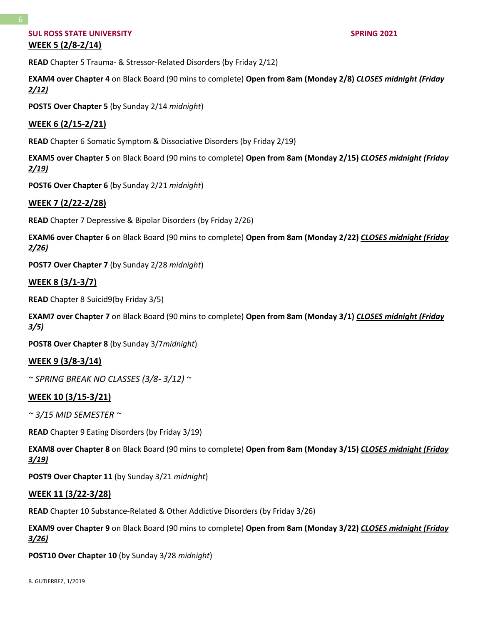# **SUL ROSS STATE UNIVERSITY SPRING 2021 WEEK 5 (2/8-2/14)**

**READ** Chapter 5 Trauma- & Stressor-Related Disorders (by Friday 2/12)

**EXAM4 over Chapter 4** on Black Board (90 mins to complete) **Open from 8am (Monday 2/8)** *CLOSES midnight (Friday 2/12)*

**POST5 Over Chapter 5** (by Sunday 2/14 *midnight*)

# **WEEK 6 (2/15-2/21)**

**READ** Chapter 6 Somatic Symptom & Dissociative Disorders (by Friday 2/19)

**EXAM5 over Chapter 5** on Black Board (90 mins to complete) **Open from 8am (Monday 2/15)** *CLOSES midnight (Friday 2/19)*

**POST6 Over Chapter 6** (by Sunday 2/21 *midnight*)

# **WEEK 7 (2/22-2/28)**

**READ** Chapter 7 Depressive & Bipolar Disorders (by Friday 2/26)

**EXAM6 over Chapter 6** on Black Board (90 mins to complete) **Open from 8am (Monday 2/22)** *CLOSES midnight (Friday 2/26)*

**POST7 Over Chapter 7** (by Sunday 2/28 *midnight*)

#### **WEEK 8 (3/1-3/7)**

**READ** Chapter 8 Suicid9(by Friday 3/5)

**EXAM7 over Chapter 7** on Black Board (90 mins to complete) **Open from 8am (Monday 3/1)** *CLOSES midnight (Friday 3/5)*

**POST8 Over Chapter 8** (by Sunday 3/7*midnight*)

# **WEEK 9 (3/8-3/14)**

*~ SPRING BREAK NO CLASSES (3/8- 3/12) ~*

#### **WEEK 10 (3/15-3/21)**

*~ 3/15 MID SEMESTER ~*

**READ** Chapter 9 Eating Disorders (by Friday 3/19)

**EXAM8 over Chapter 8** on Black Board (90 mins to complete) **Open from 8am (Monday 3/15)** *CLOSES midnight (Friday 3/19)*

**POST9 Over Chapter 11** (by Sunday 3/21 *midnight*)

#### **WEEK 11 (3/22-3/28)**

**READ** Chapter 10 Substance-Related & Other Addictive Disorders (by Friday 3/26)

**EXAM9 over Chapter 9** on Black Board (90 mins to complete) **Open from 8am (Monday 3/22)** *CLOSES midnight (Friday 3/26)*

**POST10 Over Chapter 10** (by Sunday 3/28 *midnight*)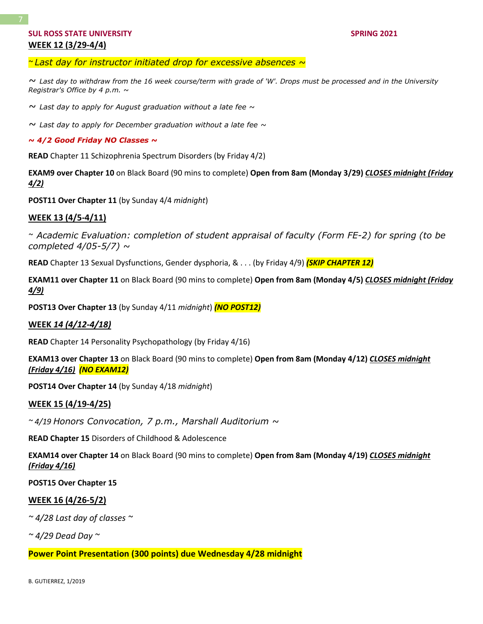*~ Last day for instructor initiated drop for excessive absences ~*

*~ Last day to withdraw from the 16 week course/term with grade of 'W'. Drops must be processed and in the University Registrar's Office by 4 p.m. ~*

*~ Last day to apply for August graduation without a late fee ~*

*~ Last day to apply for December graduation without a late fee ~*

*~ 4/2 Good Friday NO Classes ~*

**READ** Chapter 11 Schizophrenia Spectrum Disorders (by Friday 4/2)

**EXAM9 over Chapter 10** on Black Board (90 mins to complete) **Open from 8am (Monday 3/29)** *CLOSES midnight (Friday 4/2)*

**POST11 Over Chapter 11** (by Sunday 4/4 *midnight*)

#### **WEEK 13 (4/5-4/11)**

*~ Academic Evaluation: completion of student appraisal of faculty (Form FE-2) for spring (to be completed 4/05-5/7) ~*

**READ** Chapter 13 Sexual Dysfunctions, Gender dysphoria, & . . . (by Friday 4/9) *(SKIP CHAPTER 12)*

**EXAM11 over Chapter 11** on Black Board (90 mins to complete) **Open from 8am (Monday 4/5)** *CLOSES midnight (Friday 4/9)*

**POST13 Over Chapter 13** (by Sunday 4/11 *midnight*) *(NO POST12)*

#### **WEEK** *14 (4/12-4/18)*

**READ** Chapter 14 Personality Psychopathology (by Friday 4/16)

**EXAM13 over Chapter 13** on Black Board (90 mins to complete) **Open from 8am (Monday 4/12)** *CLOSES midnight (Friday 4/16) (NO EXAM12)*

**POST14 Over Chapter 14** (by Sunday 4/18 *midnight*)

#### **WEEK 15 (4/19-4/25)**

*~ 4/19 Honors Convocation, 7 p.m., Marshall Auditorium ~*

**READ Chapter 15** Disorders of Childhood & Adolescence

**EXAM14 over Chapter 14** on Black Board (90 mins to complete) **Open from 8am (Monday 4/19)** *CLOSES midnight (Friday 4/16)* 

**POST15 Over Chapter 15**

#### **WEEK 16 (4/26-5/2)**

*~ 4/28 Last day of classes ~*

*~ 4/29 Dead Day ~*

**Power Point Presentation (300 points) due Wednesday 4/28 midnight**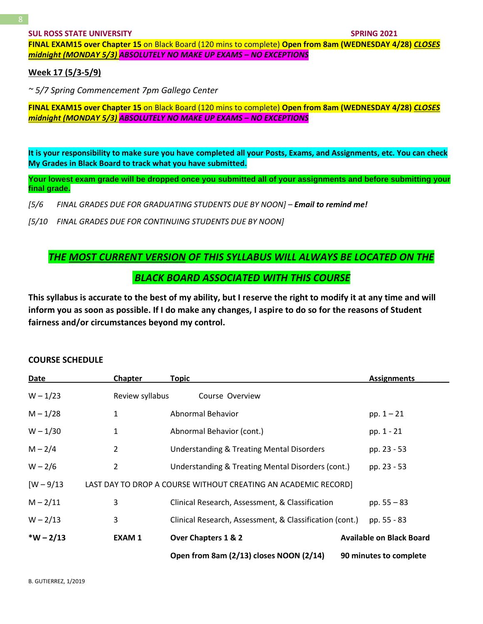**FINAL EXAM15 over Chapter 15** on Black Board (120 mins to complete) **Open from 8am (WEDNESDAY 4/28)** *CLOSES midnight (MONDAY 5/3) ABSOLUTELY NO MAKE UP EXAMS – NO EXCEPTIONS*

# **Week 17 (5/3-5/9)**

*~ 5/7 Spring Commencement 7pm Gallego Center*

**FINAL EXAM15 over Chapter 15** on Black Board (120 mins to complete) **Open from 8am (WEDNESDAY 4/28)** *CLOSES midnight (MONDAY 5/3) ABSOLUTELY NO MAKE UP EXAMS – NO EXCEPTIONS*

**It is your responsibility to make sure you have completed all your Posts, Exams, and Assignments, etc. You can check My Grades in Black Board to track what you have submitted.**

Your lowest exam grade will be dropped once you submitted all of your assignments and before submitting your **final grade.**

[5/6 FINAL GRADES DUE FOR GRADUATING STUDENTS DUE BY NOON] - **Email to remind me!** 

*[5/10 FINAL GRADES DUE FOR CONTINUING STUDENTS DUE BY NOON]*

# *THE MOST CURRENT VERSION OF THIS SYLLABUS WILL ALWAYS BE LOCATED ON THE BLACK BOARD ASSOCIATED WITH THIS COURSE*

**This syllabus is accurate to the best of my ability, but I reserve the right to modify it at any time and will inform you as soon as possible. If I do make any changes, I aspire to do so for the reasons of Student fairness and/or circumstances beyond my control.**

#### **COURSE SCHEDULE**

| Date         | <b>Chapter</b>  | <b>Topic</b>                                                   | <b>Assignments</b>              |
|--------------|-----------------|----------------------------------------------------------------|---------------------------------|
| $W - 1/23$   | Review syllabus | Course Overview                                                |                                 |
| $M - 1/28$   | 1               | Abnormal Behavior                                              | $pp. 1 - 21$                    |
| $W - 1/30$   | 1               | Abnormal Behavior (cont.)                                      | pp. 1 - 21                      |
| $M - 2/4$    | 2               | <b>Understanding &amp; Treating Mental Disorders</b>           | pp. 23 - 53                     |
| $W - 2/6$    | 2               | Understanding & Treating Mental Disorders (cont.)              | pp. 23 - 53                     |
| $[W - 9/13]$ |                 | LAST DAY TO DROP A COURSE WITHOUT CREATING AN ACADEMIC RECORD] |                                 |
| $M - 2/11$   | 3               | Clinical Research, Assessment, & Classification                | pp. $55 - 83$                   |
| $W - 2/13$   | 3               | Clinical Research, Assessment, & Classification (cont.)        | pp. 55 - 83                     |
| $*W - 2/13$  | <b>EXAM1</b>    | Over Chapters 1 & 2                                            | <b>Available on Black Board</b> |
|              |                 | Open from 8am (2/13) closes NOON (2/14)                        | 90 minutes to complete          |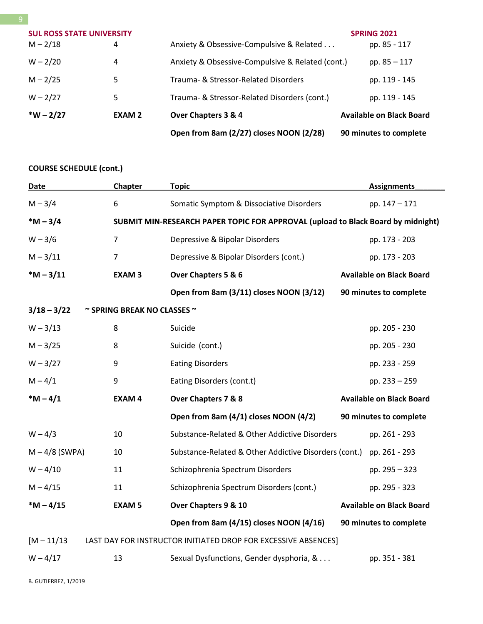|                                                |               | Open from 8am (2/27) closes NOON (2/28)          | 90 minutes to complete             |
|------------------------------------------------|---------------|--------------------------------------------------|------------------------------------|
| $*W - 2/27$                                    | <b>EXAM 2</b> | Over Chapters 3 & 4                              | <b>Available on Black Board</b>    |
| $W - 2/27$                                     | 5             | Trauma- & Stressor-Related Disorders (cont.)     | pp. 119 - 145                      |
| $M - 2/25$                                     | 5             | Trauma- & Stressor-Related Disorders             | pp. 119 - 145                      |
| $W - 2/20$                                     | 4             | Anxiety & Obsessive-Compulsive & Related (cont.) | pp. $85 - 117$                     |
| <b>SUL ROSS STATE UNIVERSITY</b><br>$M - 2/18$ | 4             | Anxiety & Obsessive-Compulsive & Related         | <b>SPRING 2021</b><br>pp. 85 - 117 |
|                                                |               |                                                  |                                    |

# **COURSE SCHEDULE (cont.)**

| <b>Date</b>                                                                     | Chapter                               | <b>Topic</b>                                                                     | <b>Assignments</b>              |  |  |
|---------------------------------------------------------------------------------|---------------------------------------|----------------------------------------------------------------------------------|---------------------------------|--|--|
| $M - 3/4$                                                                       | 6                                     | Somatic Symptom & Dissociative Disorders                                         | pp. 147 - 171                   |  |  |
| $*M - 3/4$                                                                      |                                       | SUBMIT MIN-RESEARCH PAPER TOPIC FOR APPROVAL (upload to Black Board by midnight) |                                 |  |  |
| $W - 3/6$                                                                       | $\overline{7}$                        | Depressive & Bipolar Disorders                                                   | pp. 173 - 203                   |  |  |
| $M - 3/11$                                                                      | $\overline{7}$                        | Depressive & Bipolar Disorders (cont.)                                           | pp. 173 - 203                   |  |  |
| $*M - 3/11$                                                                     | <b>EXAM3</b>                          | Over Chapters 5 & 6                                                              | <b>Available on Black Board</b> |  |  |
|                                                                                 |                                       | Open from 8am (3/11) closes NOON (3/12)                                          | 90 minutes to complete          |  |  |
| $3/18 - 3/22$                                                                   | $\sim$ SPRING BREAK NO CLASSES $\sim$ |                                                                                  |                                 |  |  |
| $W - 3/13$                                                                      | 8                                     | Suicide                                                                          | pp. 205 - 230                   |  |  |
| $M - 3/25$                                                                      | 8                                     | Suicide (cont.)                                                                  | pp. 205 - 230                   |  |  |
| $W - 3/27$                                                                      | 9                                     | <b>Eating Disorders</b>                                                          | pp. 233 - 259                   |  |  |
| $M - 4/1$                                                                       | 9                                     | Eating Disorders (cont.t)                                                        | pp. 233 - 259                   |  |  |
| $*M - 4/1$                                                                      | <b>EXAM4</b>                          | Over Chapters 7 & 8                                                              | <b>Available on Black Board</b> |  |  |
|                                                                                 |                                       | Open from 8am (4/1) closes NOON (4/2)                                            | 90 minutes to complete          |  |  |
| $W - 4/3$                                                                       | 10                                    | Substance-Related & Other Addictive Disorders                                    | pp. 261 - 293                   |  |  |
| $M - 4/8$ (SWPA)                                                                | 10                                    | Substance-Related & Other Addictive Disorders (cont.)                            | pp. 261 - 293                   |  |  |
| $W - 4/10$                                                                      | 11                                    | Schizophrenia Spectrum Disorders                                                 | pp. 295 - 323                   |  |  |
| $M - 4/15$                                                                      | 11                                    | Schizophrenia Spectrum Disorders (cont.)                                         | pp. 295 - 323                   |  |  |
| $*M - 4/15$                                                                     | <b>EXAM 5</b>                         | Over Chapters 9 & 10                                                             | <b>Available on Black Board</b> |  |  |
|                                                                                 |                                       | Open from 8am (4/15) closes NOON (4/16)                                          | 90 minutes to complete          |  |  |
| $[M - 11/13]$<br>LAST DAY FOR INSTRUCTOR INITIATED DROP FOR EXCESSIVE ABSENCES] |                                       |                                                                                  |                                 |  |  |
| $W - 4/17$                                                                      | 13                                    | Sexual Dysfunctions, Gender dysphoria, &                                         | pp. 351 - 381                   |  |  |

B. GUTIERREZ, 1/2019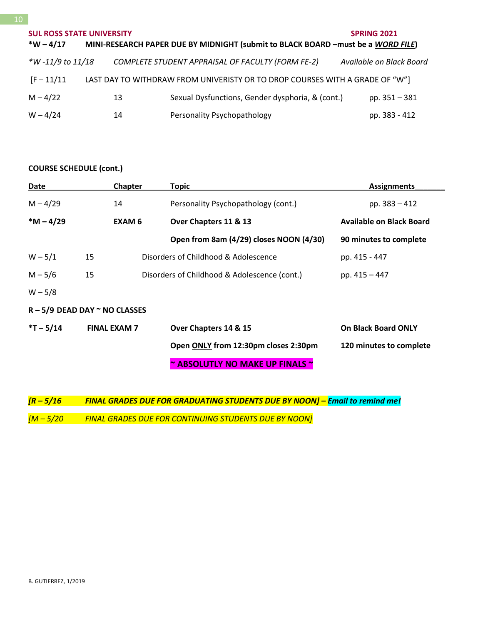# **SUL ROSS STATE UNIVERSITY SPRING 2021 \*W – 4/17 MINI-RESEARCH PAPER DUE BY MIDNIGHT (submit to BLACK BOARD –must be a** *WORD FILE***)** *\*W -11/9 to 11/18 COMPLETE STUDENT APPRAISAL OF FACULTY (FORM FE-2) Available on Black Board* [F – 11/11 LAST DAY TO WITHDRAW FROM UNIVERISTY OR TO DROP COURSES WITH A GRADE OF "W"] M – 4/22 13 Sexual Dysfunctions, Gender dysphoria, & (cont.) pp. 351 – 381 W - 4/24 14 Personality Psychopathology pp. 383 - 412

# **COURSE SCHEDULE (cont.)**

| Date                                 |                     | Chapter       | Topic                                        | <b>Assignments</b>              |
|--------------------------------------|---------------------|---------------|----------------------------------------------|---------------------------------|
| $M - 4/29$                           | 14                  |               | Personality Psychopathology (cont.)          | pp. $383 - 412$                 |
| $*M - 4/29$                          |                     | <b>EXAM 6</b> | Over Chapters 11 & 13                        | <b>Available on Black Board</b> |
|                                      |                     |               | Open from 8am (4/29) closes NOON (4/30)      | 90 minutes to complete          |
| $W - 5/1$                            | 15                  |               | Disorders of Childhood & Adolescence         | pp. 415 - 447                   |
| $M - 5/6$                            | 15                  |               | Disorders of Childhood & Adolescence (cont.) | pp. 415 - 447                   |
| $W - 5/8$                            |                     |               |                                              |                                 |
| $R - 5/9$ DEAD DAY $\sim$ NO CLASSES |                     |               |                                              |                                 |
| $*T - 5/14$                          | <b>FINAL EXAM 7</b> |               | Over Chapters 14 & 15                        | <b>On Black Board ONLY</b>      |
|                                      |                     |               | Open ONLY from 12:30pm closes 2:30pm         | 120 minutes to complete         |
|                                      |                     |               | ~ ABSOLUTLY NO MAKE UP FINALS ~              |                                 |

*[R – 5/16 FINAL GRADES DUE FOR GRADUATING STUDENTS DUE BY NOON] – Email to remind me! [M – 5/20 FINAL GRADES DUE FOR CONTINUING STUDENTS DUE BY NOON]*